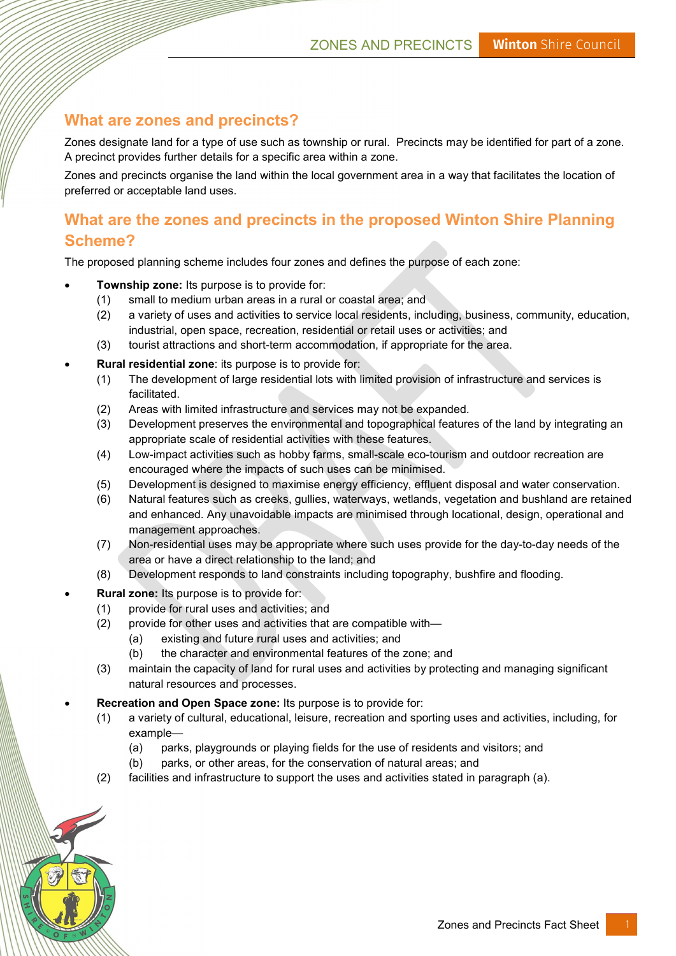## What are zones and precincts?

Zones designate land for a type of use such as township or rural. Precincts may be identified for part of a zone. A precinct provides further details for a specific area within a zone.

Zones and precincts organise the land within the local government area in a way that facilitates the location of preferred or acceptable land uses.

# What are the zones and precincts in the proposed Winton Shire Planning Scheme?

The proposed planning scheme includes four zones and defines the purpose of each zone:

- Township zone: Its purpose is to provide for:
	- (1) small to medium urban areas in a rural or coastal area; and
	- (2) a variety of uses and activities to service local residents, including, business, community, education, industrial, open space, recreation, residential or retail uses or activities; and
	- (3) tourist attractions and short-term accommodation, if appropriate for the area.
- Rural residential zone: its purpose is to provide for:
	- (1) The development of large residential lots with limited provision of infrastructure and services is facilitated.
	- (2) Areas with limited infrastructure and services may not be expanded.
	- (3) Development preserves the environmental and topographical features of the land by integrating an appropriate scale of residential activities with these features.
	- (4) Low-impact activities such as hobby farms, small-scale eco-tourism and outdoor recreation are encouraged where the impacts of such uses can be minimised.
	- (5) Development is designed to maximise energy efficiency, effluent disposal and water conservation.
	- (6) Natural features such as creeks, gullies, waterways, wetlands, vegetation and bushland are retained and enhanced. Any unavoidable impacts are minimised through locational, design, operational and management approaches.
	- (7) Non-residential uses may be appropriate where such uses provide for the day-to-day needs of the area or have a direct relationship to the land; and
	- (8) Development responds to land constraints including topography, bushfire and flooding.
	- Rural zone: Its purpose is to provide for:
		- (1) provide for rural uses and activities; and
		- (2) provide for other uses and activities that are compatible with—
			- (a) existing and future rural uses and activities; and
			- (b) the character and environmental features of the zone; and
		- (3) maintain the capacity of land for rural uses and activities by protecting and managing significant natural resources and processes.
- Recreation and Open Space zone: Its purpose is to provide for:
	- (1) a variety of cultural, educational, leisure, recreation and sporting uses and activities, including, for example—
		- (a) parks, playgrounds or playing fields for the use of residents and visitors; and
		- (b) parks, or other areas, for the conservation of natural areas; and
	- (2) facilities and infrastructure to support the uses and activities stated in paragraph (a).